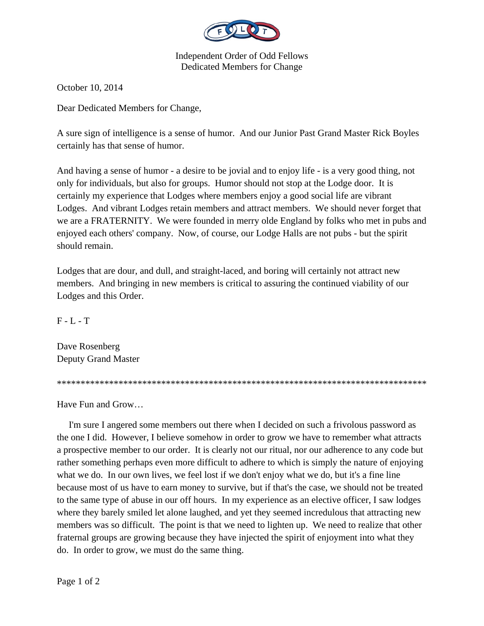

Independent Order of Odd Fellows Dedicated Members for Change

October 10, 2014

Dear Dedicated Members for Change,

A sure sign of intelligence is a sense of humor. And our Junior Past Grand Master Rick Boyles certainly has that sense of humor.

And having a sense of humor - a desire to be jovial and to enjoy life - is a very good thing, not only for individuals, but also for groups. Humor should not stop at the Lodge door. It is certainly my experience that Lodges where members enjoy a good social life are vibrant Lodges. And vibrant Lodges retain members and attract members. We should never forget that we are a FRATERNITY. We were founded in merry olde England by folks who met in pubs and enjoyed each others' company. Now, of course, our Lodge Halls are not pubs - but the spirit should remain.

Lodges that are dour, and dull, and straight-laced, and boring will certainly not attract new members. And bringing in new members is critical to assuring the continued viability of our Lodges and this Order.

 $F - L - T$ 

Dave Rosenberg Deputy Grand Master

\*\*\*\*\*\*\*\*\*\*\*\*\*\*\*\*\*\*\*\*\*\*\*\*\*\*\*\*\*\*\*\*\*\*\*\*\*\*\*\*\*\*\*\*\*\*\*\*\*\*\*\*\*\*\*\*\*\*\*\*\*\*\*\*\*\*\*\*\*\*\*\*\*\*\*\*\*\*

Have Fun and Grow…

 I'm sure I angered some members out there when I decided on such a frivolous password as the one I did. However, I believe somehow in order to grow we have to remember what attracts a prospective member to our order. It is clearly not our ritual, nor our adherence to any code but rather something perhaps even more difficult to adhere to which is simply the nature of enjoying what we do. In our own lives, we feel lost if we don't enjoy what we do, but it's a fine line because most of us have to earn money to survive, but if that's the case, we should not be treated to the same type of abuse in our off hours. In my experience as an elective officer, I saw lodges where they barely smiled let alone laughed, and yet they seemed incredulous that attracting new members was so difficult. The point is that we need to lighten up. We need to realize that other fraternal groups are growing because they have injected the spirit of enjoyment into what they do. In order to grow, we must do the same thing.